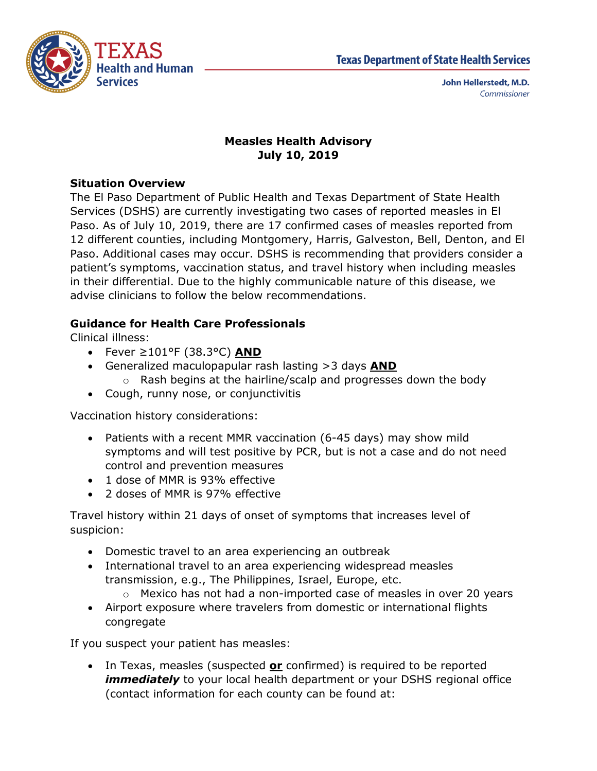

### **Measles Health Advisory July 10, 2019**

### **Situation Overview**

The El Paso Department of Public Health and Texas Department of State Health Services (DSHS) are currently investigating two cases of reported measles in El Paso. As of July 10, 2019, there are 17 confirmed cases of measles reported from 12 different counties, including Montgomery, Harris, Galveston, Bell, Denton, and El Paso. Additional cases may occur. DSHS is recommending that providers consider a patient's symptoms, vaccination status, and travel history when including measles in their differential. Due to the highly communicable nature of this disease, we advise clinicians to follow the below recommendations.

# **Guidance for Health Care Professionals**

Clinical illness:

- Fever ≥101°F (38.3°C) **AND**
- Generalized maculopapular rash lasting >3 days **AND**
	- o Rash begins at the hairline/scalp and progresses down the body
- Cough, runny nose, or conjunctivitis

Vaccination history considerations:

- Patients with a recent MMR vaccination (6-45 days) may show mild symptoms and will test positive by PCR, but is not a case and do not need control and prevention measures
- 1 dose of MMR is 93% effective
- 2 doses of MMR is 97% effective

Travel history within 21 days of onset of symptoms that increases level of suspicion:

- Domestic travel to an area experiencing an outbreak
- International travel to an area experiencing widespread measles transmission, e.g., The Philippines, Israel, Europe, etc.
	- o Mexico has not had a non-imported case of measles in over 20 years
- Airport exposure where travelers from domestic or international flights congregate

If you suspect your patient has measles:

 In Texas, measles (suspected **or** confirmed) is required to be reported *immediately* to your local health department or your DSHS regional office (contact information for each county can be found at: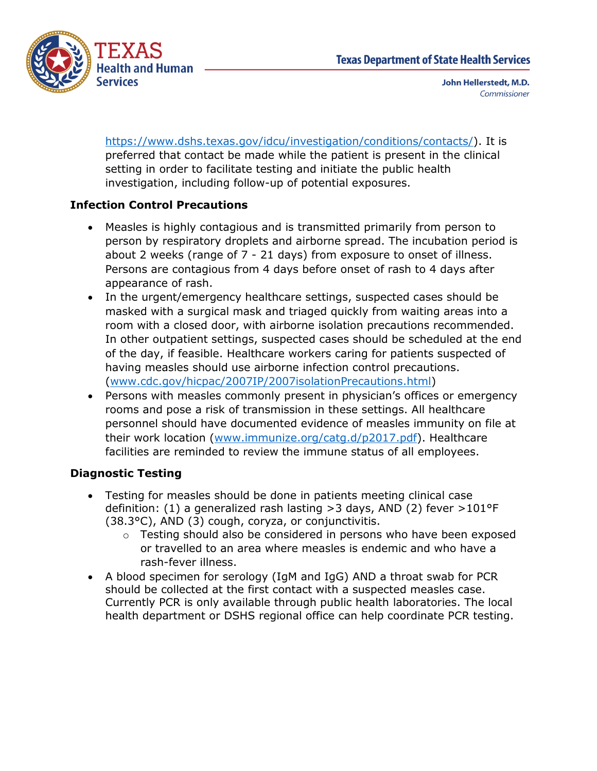

[https://www.dshs.texas.gov/idcu/investigation/conditions/contacts/\)](https://www.dshs.texas.gov/idcu/investigation/conditions/contacts/). It is preferred that contact be made while the patient is present in the clinical setting in order to facilitate testing and initiate the public health investigation, including follow-up of potential exposures.

## **Infection Control Precautions**

- Measles is highly contagious and is transmitted primarily from person to person by respiratory droplets and airborne spread. The incubation period is about 2 weeks (range of 7 - 21 days) from exposure to onset of illness. Persons are contagious from 4 days before onset of rash to 4 days after appearance of rash.
- In the urgent/emergency healthcare settings, suspected cases should be masked with a surgical mask and triaged quickly from waiting areas into a room with a closed door, with airborne isolation precautions recommended. In other outpatient settings, suspected cases should be scheduled at the end of the day, if feasible. Healthcare workers caring for patients suspected of having measles should use airborne infection control precautions. [\(www.cdc.gov/hicpac/2007IP/2007isolationPrecautions.html\)](http://www.cdc.gov/hicpac/2007IP/2007isolationPrecautions.html)
- Persons with measles commonly present in physician's offices or emergency rooms and pose a risk of transmission in these settings. All healthcare personnel should have documented evidence of measles immunity on file at their work location [\(www.immunize.org/catg.d/p2017.pdf\)](http://www.immunize.org/catg.d/p2017.pdf). Healthcare facilities are reminded to review the immune status of all employees.

# **Diagnostic Testing**

- Testing for measles should be done in patients meeting clinical case definition: (1) a generalized rash lasting >3 days, AND (2) fever >101°F (38.3°C), AND (3) cough, coryza, or conjunctivitis.
	- o Testing should also be considered in persons who have been exposed or travelled to an area where measles is endemic and who have a rash-fever illness.
- A blood specimen for serology (IgM and IgG) AND a throat swab for PCR should be collected at the first contact with a suspected measles case. Currently PCR is only available through public health laboratories. The local health department or DSHS regional office can help coordinate PCR testing.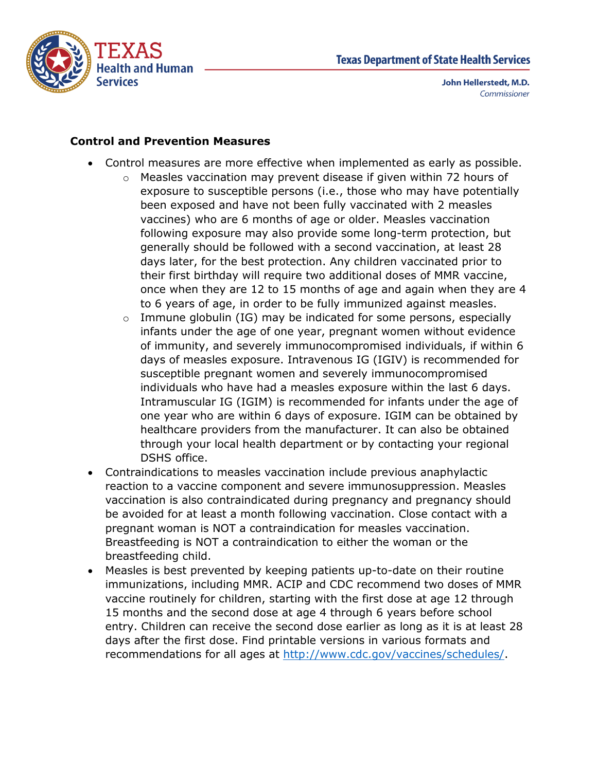

#### **Control and Prevention Measures**

- Control measures are more effective when implemented as early as possible.
	- o Measles vaccination may prevent disease if given within 72 hours of exposure to susceptible persons (i.e., those who may have potentially been exposed and have not been fully vaccinated with 2 measles vaccines) who are 6 months of age or older. Measles vaccination following exposure may also provide some long-term protection, but generally should be followed with a second vaccination, at least 28 days later, for the best protection. Any children vaccinated prior to their first birthday will require two additional doses of MMR vaccine, once when they are 12 to 15 months of age and again when they are 4 to 6 years of age, in order to be fully immunized against measles.
	- $\circ$  Immune globulin (IG) may be indicated for some persons, especially infants under the age of one year, pregnant women without evidence of immunity, and severely immunocompromised individuals, if within 6 days of measles exposure. Intravenous IG (IGIV) is recommended for susceptible pregnant women and severely immunocompromised individuals who have had a measles exposure within the last 6 days. Intramuscular IG (IGIM) is recommended for infants under the age of one year who are within 6 days of exposure. IGIM can be obtained by healthcare providers from the manufacturer. It can also be obtained through your local health department or by contacting your regional DSHS office.
- Contraindications to measles vaccination include previous anaphylactic reaction to a vaccine component and severe immunosuppression. Measles vaccination is also contraindicated during pregnancy and pregnancy should be avoided for at least a month following vaccination. Close contact with a pregnant woman is NOT a contraindication for measles vaccination. Breastfeeding is NOT a contraindication to either the woman or the breastfeeding child.
- Measles is best prevented by keeping patients up-to-date on their routine immunizations, including MMR. ACIP and CDC recommend two doses of MMR vaccine routinely for children, starting with the first dose at age 12 through 15 months and the second dose at age 4 through 6 years before school entry. Children can receive the second dose earlier as long as it is at least 28 days after the first dose. Find printable versions in various formats and recommendations for all ages at [http://www.cdc.gov/vaccines/schedules/.](http://www.cdc.gov/vaccines/schedules/)